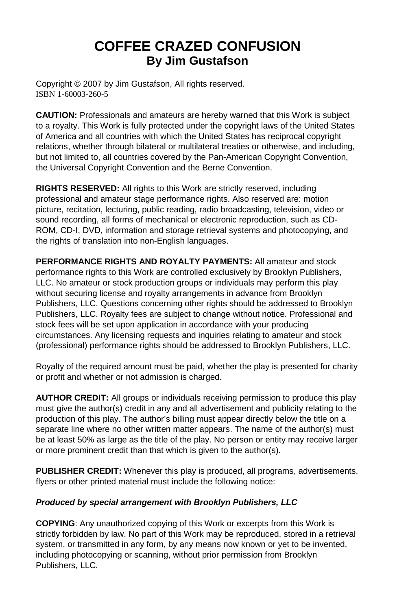# **COFFEE CRAZED CONFUSION By Jim Gustafson**

Copyright © 2007 by Jim Gustafson, All rights reserved. ISBN 1-60003-260-5

**CAUTION:** Professionals and amateurs are hereby warned that this Work is subject to a royalty. This Work is fully protected under the copyright laws of the United States of America and all countries with which the United States has reciprocal copyright relations, whether through bilateral or multilateral treaties or otherwise, and including, but not limited to, all countries covered by the Pan-American Copyright Convention, the Universal Copyright Convention and the Berne Convention.

**RIGHTS RESERVED:** All rights to this Work are strictly reserved, including professional and amateur stage performance rights. Also reserved are: motion picture, recitation, lecturing, public reading, radio broadcasting, television, video or sound recording, all forms of mechanical or electronic reproduction, such as CD-ROM, CD-I, DVD, information and storage retrieval systems and photocopying, and the rights of translation into non-English languages.

**PERFORMANCE RIGHTS AND ROYALTY PAYMENTS:** All amateur and stock performance rights to this Work are controlled exclusively by Brooklyn Publishers, LLC. No amateur or stock production groups or individuals may perform this play without securing license and royalty arrangements in advance from Brooklyn Publishers, LLC. Questions concerning other rights should be addressed to Brooklyn Publishers, LLC. Royalty fees are subject to change without notice. Professional and stock fees will be set upon application in accordance with your producing circumstances. Any licensing requests and inquiries relating to amateur and stock (professional) performance rights should be addressed to Brooklyn Publishers, LLC.

Royalty of the required amount must be paid, whether the play is presented for charity or profit and whether or not admission is charged.

**AUTHOR CREDIT:** All groups or individuals receiving permission to produce this play must give the author(s) credit in any and all advertisement and publicity relating to the production of this play. The author's billing must appear directly below the title on a separate line where no other written matter appears. The name of the author(s) must be at least 50% as large as the title of the play. No person or entity may receive larger or more prominent credit than that which is given to the author(s).

**PUBLISHER CREDIT:** Whenever this play is produced, all programs, advertisements, flyers or other printed material must include the following notice:

#### *Produced by special arrangement with Brooklyn Publishers, LLC*

**COPYING**: Any unauthorized copying of this Work or excerpts from this Work is strictly forbidden by law. No part of this Work may be reproduced, stored in a retrieval system, or transmitted in any form, by any means now known or yet to be invented, including photocopying or scanning, without prior permission from Brooklyn Publishers, LLC.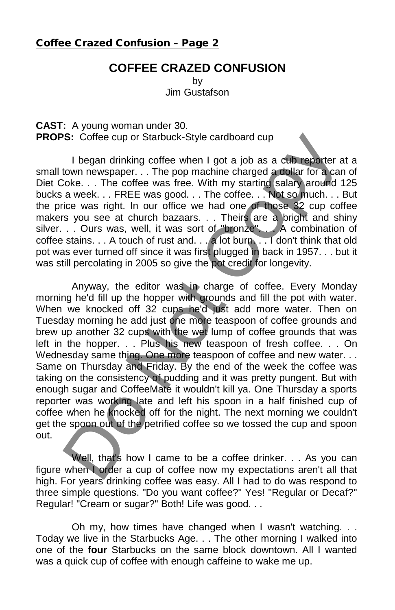#### Coffee Crazed Confusion – Page 2

## **COFFEE CRAZED CONFUSION**

by Jim Gustafson

**CAST:** A young woman under 30. **PROPS:** Coffee cup or Starbuck-Style cardboard cup

I began drinking coffee when I got a job as a cub reporter at a small town newspaper. . . The pop machine charged a dollar for a can of Diet Coke. . . The coffee was free. With my starting salary around 125 bucks a week. . . FREE was good. . . The coffee. . . Not so much. . . But the price was right. In our office we had one of those 32 cup coffee makers you see at church bazaars. . . Theirs are a bright and shiny silver. . . Ours was, well, it was sort of "bronze". . . A combination of coffee stains. . . A touch of rust and. . . a lot burn. . . I don't think that old pot was ever turned off since it was first plugged in back in 1957. . . but it was still percolating in 2005 so give the pot credit for longevity.

Anyway, the editor was in charge of coffee. Every Monday morning he'd fill up the hopper with grounds and fill the pot with water. When we knocked off 32 cups he'd just add more water. Then on Tuesday morning he add just one more teaspoon of coffee grounds and brew up another 32 cups with the wet lump of coffee grounds that was left in the hopper. . . Plus his new teaspoon of fresh coffee. . . On Wednesday same thing. One more teaspoon of coffee and new water. . . Same on Thursday and Friday. By the end of the week the coffee was taking on the consistency of pudding and it was pretty pungent. But with enough sugar and CoffeeMate it wouldn't kill ya. One Thursday a sports reporter was working late and left his spoon in a half finished cup of coffee when he knocked off for the night. The next morning we couldn't get the spoon out of the petrified coffee so we tossed the cup and spoon out. **S:** Coffee cup or Starbuck-Style cardboard cup<br>
1 began drinking coffee when 1 got a job as a club reporter a<br>
town newspaper... The pop machine charged a dollar for a can<br>
coke... The coffee was free. With my starting s

Well, that's how I came to be a coffee drinker. . . As you can figure when I order a cup of coffee now my expectations aren't all that high. For years drinking coffee was easy. All I had to do was respond to three simple questions. "Do you want coffee?" Yes! "Regular or Decaf?" Regular! "Cream or sugar?" Both! Life was good. . .

Oh my, how times have changed when I wasn't watching. . . Today we live in the Starbucks Age. . . The other morning I walked into one of the **four** Starbucks on the same block downtown. All I wanted was a quick cup of coffee with enough caffeine to wake me up.